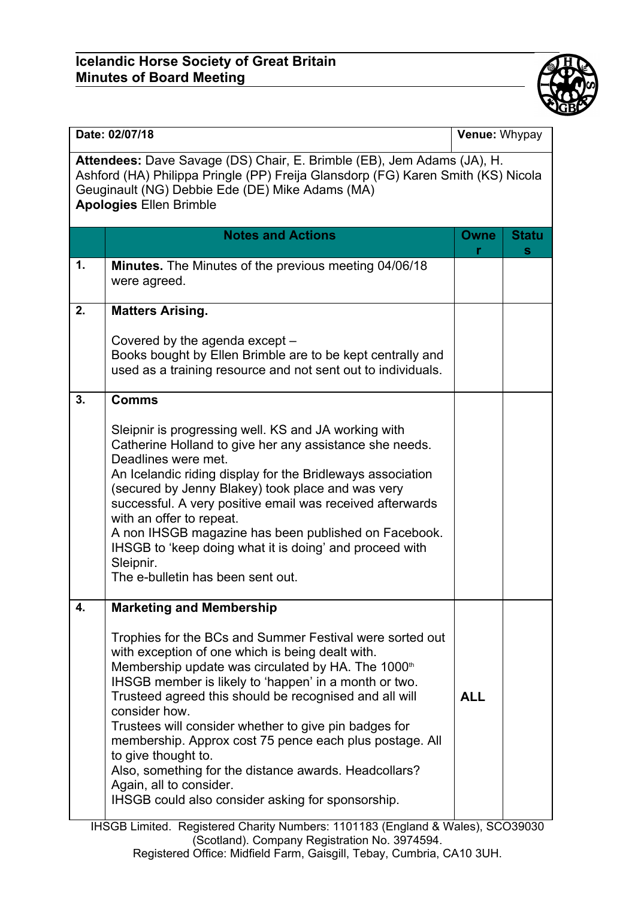## **Icelandic Horse Society of Great Britain Minutes of Board Meeting**



IHSGB Limited. Registered Charity Numbers: 1101183 (England & Wales), SCO39030 (Scotland). Company Registration No. 3974594. Registered Office: Midfield Farm, Gaisgill, Tebay, Cumbria, CA10 3UH.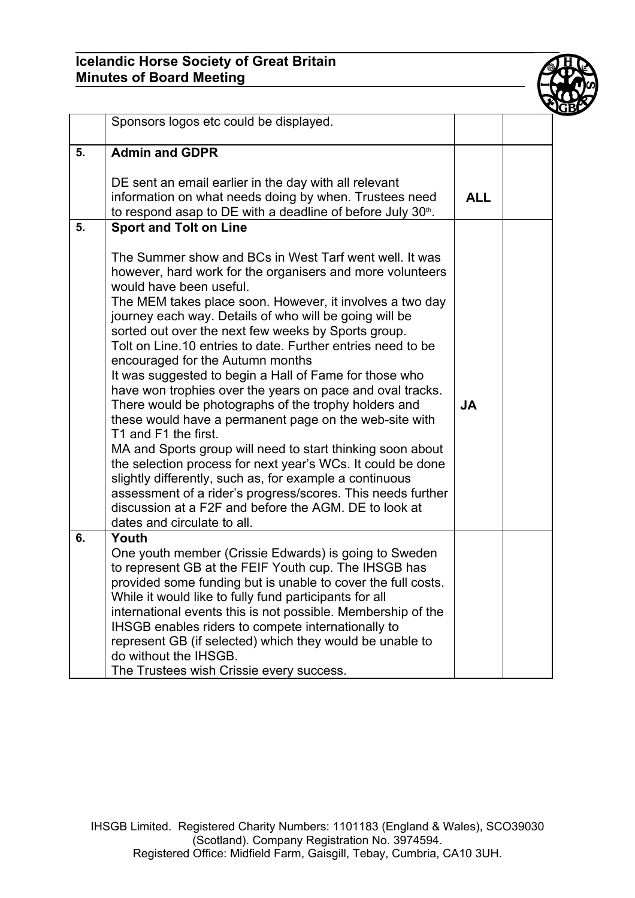## **Icelandic Horse Society of Great Britain Minutes of Board Meeting**



|    | Sponsors logos etc could be displayed.                                                                                                                                                                                                                                                                                                                                                                                                                                                                                                                                                                                                                                                                                                                                                                                                                                                                                                                                                                                                         |            |  |
|----|------------------------------------------------------------------------------------------------------------------------------------------------------------------------------------------------------------------------------------------------------------------------------------------------------------------------------------------------------------------------------------------------------------------------------------------------------------------------------------------------------------------------------------------------------------------------------------------------------------------------------------------------------------------------------------------------------------------------------------------------------------------------------------------------------------------------------------------------------------------------------------------------------------------------------------------------------------------------------------------------------------------------------------------------|------------|--|
| 5. | <b>Admin and GDPR</b>                                                                                                                                                                                                                                                                                                                                                                                                                                                                                                                                                                                                                                                                                                                                                                                                                                                                                                                                                                                                                          |            |  |
|    | DE sent an email earlier in the day with all relevant<br>information on what needs doing by when. Trustees need<br>to respond asap to DE with a deadline of before July 30 <sup>th</sup> .                                                                                                                                                                                                                                                                                                                                                                                                                                                                                                                                                                                                                                                                                                                                                                                                                                                     | <b>ALL</b> |  |
| 5. | <b>Sport and Tolt on Line</b>                                                                                                                                                                                                                                                                                                                                                                                                                                                                                                                                                                                                                                                                                                                                                                                                                                                                                                                                                                                                                  |            |  |
|    | The Summer show and BCs in West Tarf went well. It was<br>however, hard work for the organisers and more volunteers<br>would have been useful.<br>The MEM takes place soon. However, it involves a two day<br>journey each way. Details of who will be going will be<br>sorted out over the next few weeks by Sports group.<br>Tolt on Line.10 entries to date. Further entries need to be<br>encouraged for the Autumn months<br>It was suggested to begin a Hall of Fame for those who<br>have won trophies over the years on pace and oval tracks.<br>There would be photographs of the trophy holders and<br>these would have a permanent page on the web-site with<br>T1 and F1 the first.<br>MA and Sports group will need to start thinking soon about<br>the selection process for next year's WCs. It could be done<br>slightly differently, such as, for example a continuous<br>assessment of a rider's progress/scores. This needs further<br>discussion at a F2F and before the AGM. DE to look at<br>dates and circulate to all. | <b>JA</b>  |  |
| 6. | Youth<br>One youth member (Crissie Edwards) is going to Sweden                                                                                                                                                                                                                                                                                                                                                                                                                                                                                                                                                                                                                                                                                                                                                                                                                                                                                                                                                                                 |            |  |
|    | to represent GB at the FEIF Youth cup. The IHSGB has<br>provided some funding but is unable to cover the full costs.<br>While it would like to fully fund participants for all<br>international events this is not possible. Membership of the<br>IHSGB enables riders to compete internationally to<br>represent GB (if selected) which they would be unable to<br>do without the IHSGB.<br>The Trustees wish Crissie every success.                                                                                                                                                                                                                                                                                                                                                                                                                                                                                                                                                                                                          |            |  |